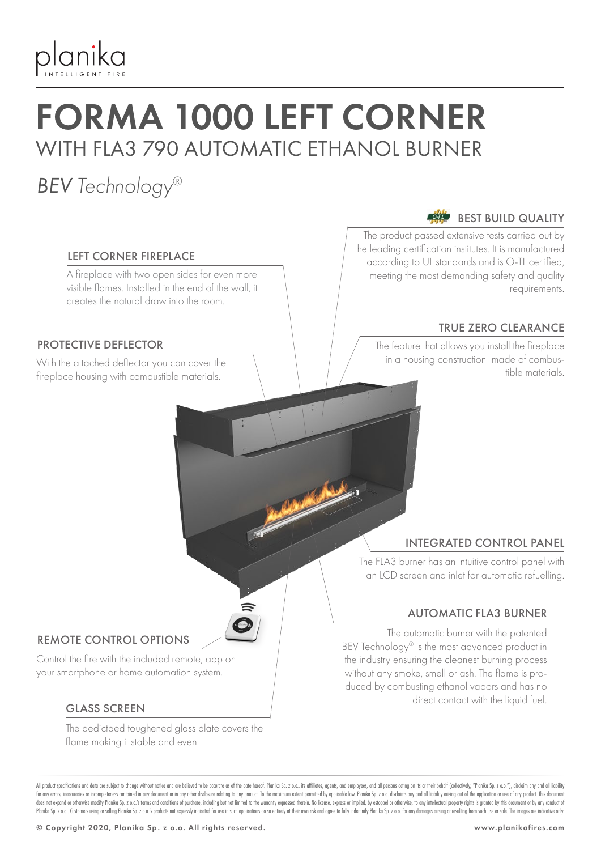

## FORMA 1000 LEFT CORNER WITH FLA3 790 AUTOMATIC ETHANOL BURNER

### *BEV Technology®*

#### LEFT CORNER FIREPLACE

A fireplace with two open sides for even more visible flames. Installed in the end of the wall, it creates the natural draw into the room.

#### PROTECTIVE DEFLECTOR

fireplace housing with combustible materials.

#### BEST BUILD QUALITY

The product passed extensive tests carried out by the leading certification institutes. It is manufactured according to UL standards and is O-TL certified, meeting the most demanding safety and quality requirements.

#### TRUE ZERO CLEARANCE

The feature that allows you install the fireplace in a housing construction made of combus-With the attached deflector you can cover the the combus-<br>Computer the computation of the materials

#### INTEGRATED CONTROL PANEL

The FLA3 burner has an intuitive control panel with an LCD screen and inlet for automatic refuelling.

#### AUTOMATIC FLA3 BURNER

The automatic burner with the patented BEV Technology® is the most advanced product in the industry ensuring the cleanest burning process without any smoke, smell or ash. The flame is produced by combusting ethanol vapors and has no direct contact with the liquid fuel.

#### REMOTE CONTROL OPTIONS

Control the fire with the included remote, app on your smartphone or home automation system.

#### GLASS SCREEN

The dedictaed toughened glass plate covers the flame making it stable and even.

All product specifications and data are subject to change without notice and are believed to be accurate as of the date hereof. Planika So, z o.o., its affiliates, agents, and employees, and all only are action on its or t for any errors, inaccuracies or incompleteness contained in any document or in any other disclosure relating to any product. To the maximum extent permitted by applicable law, Planika Sp. z o.o. disclaims any and all liabi does not expand or otherwise modify Planika Sp. 2 o.o.'s terms and conditions of purchase, including but not limited to the warranty expressed therein. No license, express or implied, by estoppel or otherwise, to any intel Planika Sp. z o.o. Customers using or selling Planika Sp. z o.o.'s products not expressly indicated for use in such applications do so entirely at their own risk and agree to fully indemnify Planika Sp. z o.o. for any dama